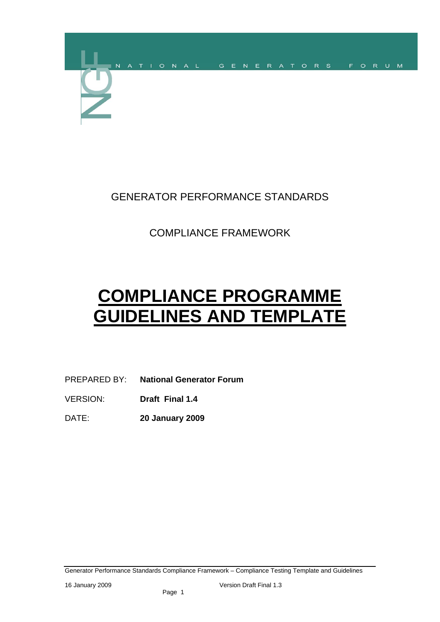

# GENERATOR PERFORMANCE STANDARDS

# COMPLIANCE FRAMEWORK

# **COMPLIANCE PROGRAMME GUIDELINES AND TEMPLATE**

## PREPARED BY: **National Generator Forum**

- VERSION: **Draft Final 1.4**
- DATE: **20 January 2009**

Generator Performance Standards Compliance Framework – Compliance Testing Template and Guidelines

16 January 2009 Version Draft Final 1.3

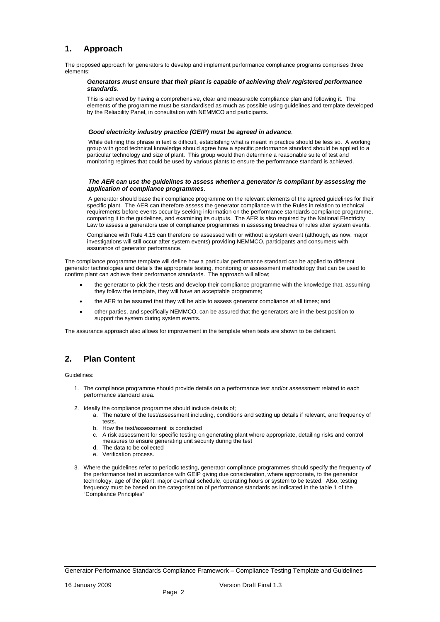## **1. Approach**

The proposed approach for generators to develop and implement performance compliance programs comprises three elements:

#### *Generators must ensure that their plant is capable of achieving their registered performance standards*.

This is achieved by having a comprehensive, clear and measurable compliance plan and following it. The elements of the programme must be standardised as much as possible using guidelines and template developed by the Reliability Panel, in consultation with NEMMCO and participants.

#### *Good electricity industry practice (GEIP) must be agreed in advance*.

While defining this phrase in text is difficult, establishing what is meant in practice should be less so. A working group with good technical knowledge should agree how a specific performance standard should be applied to a particular technology and size of plant. This group would then determine a reasonable suite of test and monitoring regimes that could be used by various plants to ensure the performance standard is achieved.

#### *The AER can use the guidelines to assess whether a generator is compliant by assessing the application of compliance programmes*.

A generator should base their compliance programme on the relevant elements of the agreed guidelines for their specific plant. The AER can therefore assess the generator compliance with the Rules in relation to technical requirements before events occur by seeking information on the performance standards compliance programme, comparing it to the guidelines, and examining its outputs. The AER is also required by the National Electricity Law to assess a generators use of compliance programmes in assessing breaches of rules after system events.

Compliance with Rule 4.15 can therefore be assessed with or without a system event (although, as now, major investigations will still occur after system events) providing NEMMCO, participants and consumers with assurance of generator performance.

The compliance programme template will define how a particular performance standard can be applied to different generator technologies and details the appropriate testing, monitoring or assessment methodology that can be used to confirm plant can achieve their performance standards. The approach will allow;

- the generator to pick their tests and develop their compliance programme with the knowledge that, assuming they follow the template, they will have an acceptable programme;
- the AER to be assured that they will be able to assess generator compliance at all times; and
- other parties, and specifically NEMMCO, can be assured that the generators are in the best position to support the system during system events.

The assurance approach also allows for improvement in the template when tests are shown to be deficient.

## **2. Plan Content**

Guidelines:

- 1. The compliance programme should provide details on a performance test and/or assessment related to each performance standard area.
- 2. Ideally the compliance programme should include details of;
	- a. The nature of the test/assessment including, conditions and setting up details if relevant, and frequency of tests.
	- b. How the test/assessment is conducted
	- c. A risk assessment for specific testing on generating plant where appropriate, detailing risks and control measures to ensure generating unit security during the test
	- d. The data to be collected
	- e. Verification process.
- 3. Where the guidelines refer to periodic testing, generator compliance programmes should specify the frequency of

the performance test in accordance with GEIP giving due consideration, where appropriate, to the generator technology, age of the plant, major overhaul schedule, operating hours or system to be tested. Also, testing frequency must be based on the categorisation of performance standards as indicated in the table 1 of the "Compliance Principles"

Generator Performance Standards Compliance Framework – Compliance Testing Template and Guidelines

16 January 2009 Version Draft Final 1.3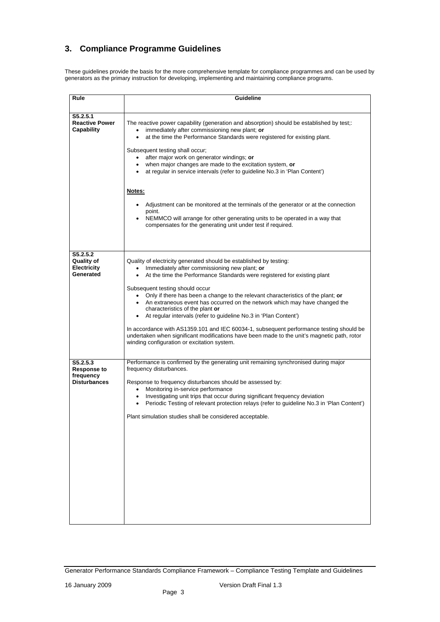## **3. Compliance Programme Guidelines**

These guidelines provide the basis for the more comprehensive template for compliance programmes and can be used by generators as the primary instruction for developing, implementing and maintaining compliance programs.

| <b>Guideline</b>                                                                                                                                                                                                                                                                                         |  |  |  |  |  |  |
|----------------------------------------------------------------------------------------------------------------------------------------------------------------------------------------------------------------------------------------------------------------------------------------------------------|--|--|--|--|--|--|
|                                                                                                                                                                                                                                                                                                          |  |  |  |  |  |  |
| The reactive power capability (generation and absorption) should be established by test;:<br>immediately after commissioning new plant; or<br>at the time the Performance Standards were registered for existing plant.                                                                                  |  |  |  |  |  |  |
| Subsequent testing shall occur;<br>after major work on generator windings; or<br>when major changes are made to the excitation system, or<br>at regular in service intervals (refer to guideline No.3 in 'Plan Content')                                                                                 |  |  |  |  |  |  |
| Notes:                                                                                                                                                                                                                                                                                                   |  |  |  |  |  |  |
| Adjustment can be monitored at the terminals of the generator or at the connection<br>point.<br>NEMMCO will arrange for other generating units to be operated in a way that                                                                                                                              |  |  |  |  |  |  |
| compensates for the generating unit under test if required.                                                                                                                                                                                                                                              |  |  |  |  |  |  |
| Quality of electricity generated should be established by testing:<br>Immediately after commissioning new plant; or<br>$\bullet$                                                                                                                                                                         |  |  |  |  |  |  |
| At the time the Performance Standards were registered for existing plant                                                                                                                                                                                                                                 |  |  |  |  |  |  |
| Subsequent testing should occur<br>Only if there has been a change to the relevant characteristics of the plant; or<br>An extraneous event has occurred on the network which may have changed the<br>characteristics of the plant or<br>At regular intervals (refer to guideline No.3 in 'Plan Content') |  |  |  |  |  |  |
| In accordance with AS1359.101 and IEC 60034-1, subsequent performance testing should be<br>undertaken when significant modifications have been made to the unit's magnetic path, rotor<br>winding configuration or excitation system.                                                                    |  |  |  |  |  |  |
| Performance is confirmed by the generating unit remaining synchronised during major<br>frequency disturbances.                                                                                                                                                                                           |  |  |  |  |  |  |
| Response to frequency disturbances should be assessed by:<br>Monitoring in-service performance<br>Investigating unit trips that occur during significant frequency deviation<br>Periodic Testing of relevant protection relays (refer to guideline No.3 in 'Plan Content')                               |  |  |  |  |  |  |
| Plant simulation studies shall be considered acceptable.                                                                                                                                                                                                                                                 |  |  |  |  |  |  |
|                                                                                                                                                                                                                                                                                                          |  |  |  |  |  |  |

Generator Performance Standards Compliance Framework – Compliance Testing Template and Guidelines

16 January 2009 Version Draft Final 1.3

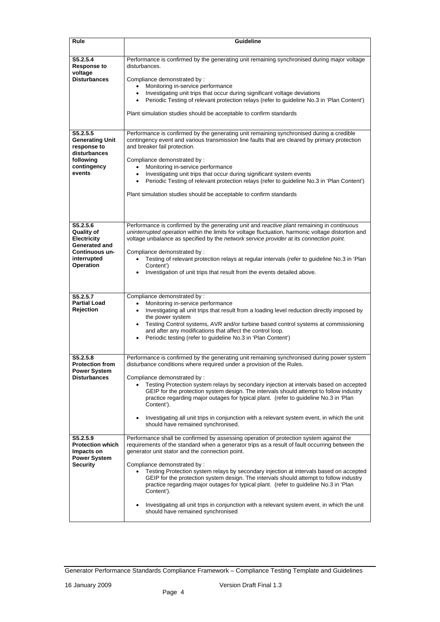| <b>Rule</b>                                                                                                                      | <b>Guideline</b>                                                                                                                                                                                                                                                                                                                                                                                                                                                                                                                                                                                                                                                                                          |  |  |  |  |  |
|----------------------------------------------------------------------------------------------------------------------------------|-----------------------------------------------------------------------------------------------------------------------------------------------------------------------------------------------------------------------------------------------------------------------------------------------------------------------------------------------------------------------------------------------------------------------------------------------------------------------------------------------------------------------------------------------------------------------------------------------------------------------------------------------------------------------------------------------------------|--|--|--|--|--|
| S5.2.5.4<br><b>Response to</b><br>voltage<br><b>Disturbances</b>                                                                 | Performance is confirmed by the generating unit remaining synchronised during major voltage<br>disturbances.<br>Compliance demonstrated by:<br>Monitoring in-service performance<br>Investigating unit trips that occur during significant voltage deviations<br>Periodic Testing of relevant protection relays (refer to guideline No.3 in 'Plan Content')<br>Plant simulation studies should be acceptable to confirm standards                                                                                                                                                                                                                                                                         |  |  |  |  |  |
| S5.2.5.5<br><b>Generating Unit</b><br>response to<br>disturbances<br>following<br>contingency<br>events                          | Performance is confirmed by the generating unit remaining synchronised during a credible<br>contingency event and various transmission line faults that are cleared by primary protection<br>and breaker fail protection.<br>Compliance demonstrated by :<br>Monitoring in-service performance<br>$\bullet$<br>Investigating unit trips that occur during significant system events<br>Periodic Testing of relevant protection relays (refer to guideline No.3 in 'Plan Content')<br>$\bullet$<br>Plant simulation studies should be acceptable to confirm standards                                                                                                                                      |  |  |  |  |  |
| S5.2.5.6<br><b>Quality of</b><br><b>Electricity</b><br><b>Generated and</b><br>Continuous un-<br>interrupted<br><b>Operation</b> | Performance is confirmed by the generating unit and reactive plant remaining in continuous<br>uninterrupted operation within the limits for voltage fluctuation, harmonic voltage distortion and<br>voltage unbalance as specified by the network service provider at its connection point.<br>Compliance demonstrated by:<br>Testing of relevant protection relays at regular intervals (refer to guideline No.3 in 'Plan<br>Content')<br>Investigation of unit trips that result from the events detailed above.                                                                                                                                                                                        |  |  |  |  |  |
| S5.2.5.7<br><b>Partial Load</b><br><b>Rejection</b>                                                                              | Compliance demonstrated by:<br>Monitoring in-service performance<br>Investigating all unit trips that result from a loading level reduction directly imposed by<br>the power system<br>Testing Control systems, AVR and/or turbine based control systems at commissioning<br>and after any modifications that affect the control loop.<br>Periodic testing (refer to guideline No.3 in 'Plan Content')                                                                                                                                                                                                                                                                                                    |  |  |  |  |  |
| S5.2.5.8<br><b>Protection from</b><br><b>Power System</b><br><b>Disturbances</b>                                                 | Performance is confirmed by the generating unit remaining synchronised during power system<br>disturbance conditions where required under a provision of the Rules.<br>Compliance demonstrated by:<br>Testing Protection system relays by secondary injection at intervals based on accepted<br>GEIP for the protection system design. The intervals should attempt to follow industry<br>practice regarding major outages for typical plant. (refer to guideline No.3 in 'Plan<br>Content').<br>Investigating all unit trips in conjunction with a relevant system event, in which the unit<br>should have remained synchronised.                                                                        |  |  |  |  |  |
| S5.2.5.9<br><b>Protection which</b><br>Impacts on<br><b>Power System</b><br><b>Security</b>                                      | Performance shall be confirmed by assessing operation of protection system against the<br>requirements of the standard when a generator trips as a result of fault occurring between the<br>generator unit stator and the connection point.<br>Compliance demonstrated by:<br>Testing Protection system relays by secondary injection at intervals based on accepted<br>GEIP for the protection system design. The intervals should attempt to follow industry<br>practice regarding major outages for typical plant. (refer to guideline No.3 in 'Plan<br>Content').<br>Investigating all unit trips in conjunction with a relevant system event, in which the unit<br>should have remained synchronised |  |  |  |  |  |

Generator Performance Standards Compliance Framework – Compliance Testing Template and Guidelines

16 January 2009 Version Draft Final 1.3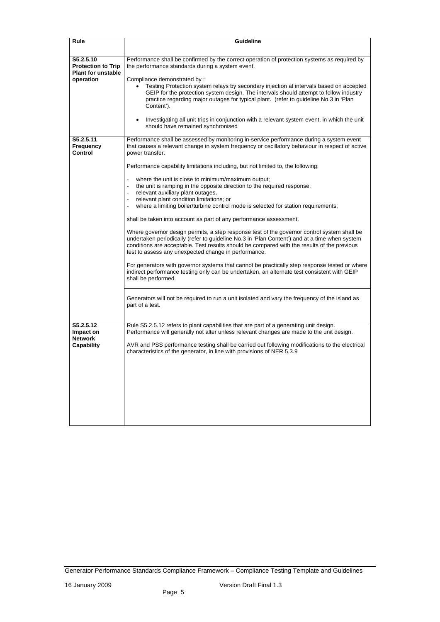| <b>Rule</b>                                                                      | <b>Guideline</b>                                                                                                                                                                                                                                                                                                                                                                                                                                                                                                                                                                                                                                                                                                                                                                                                                                                                                                                                                                                                                                                                                                                                                                                                                                                                                                                                                               |  |  |  |  |  |
|----------------------------------------------------------------------------------|--------------------------------------------------------------------------------------------------------------------------------------------------------------------------------------------------------------------------------------------------------------------------------------------------------------------------------------------------------------------------------------------------------------------------------------------------------------------------------------------------------------------------------------------------------------------------------------------------------------------------------------------------------------------------------------------------------------------------------------------------------------------------------------------------------------------------------------------------------------------------------------------------------------------------------------------------------------------------------------------------------------------------------------------------------------------------------------------------------------------------------------------------------------------------------------------------------------------------------------------------------------------------------------------------------------------------------------------------------------------------------|--|--|--|--|--|
| S5.2.5.10<br><b>Protection to Trip</b><br><b>Plant for unstable</b><br>operation | Performance shall be confirmed by the correct operation of protection systems as required by<br>the performance standards during a system event.<br>Compliance demonstrated by:<br>Testing Protection system relays by secondary injection at intervals based on accepted<br>GEIP for the protection system design. The intervals should attempt to follow industry<br>practice regarding major outages for typical plant. (refer to guideline No.3 in 'Plan<br>Content').<br>Investigating all unit trips in conjunction with a relevant system event, in which the unit<br>should have remained synchronised                                                                                                                                                                                                                                                                                                                                                                                                                                                                                                                                                                                                                                                                                                                                                                 |  |  |  |  |  |
| S5.2.5.11<br><b>Frequency</b><br><b>Control</b>                                  | Performance shall be assessed by monitoring in-service performance during a system event<br>that causes a relevant change in system frequency or oscillatory behaviour in respect of active<br>power transfer.<br>Performance capability limitations including, but not limited to, the following;<br>where the unit is close to minimum/maximum output;<br>the unit is ramping in the opposite direction to the required response,<br>$\overline{\phantom{m}}$<br>relevant auxiliary plant outages,<br>$\overline{\phantom{a}}$<br>relevant plant condition limitations; or<br>$\overline{\phantom{a}}$<br>where a limiting boiler/turbine control mode is selected for station requirements;<br>$\overline{\phantom{a}}$<br>shall be taken into account as part of any performance assessment.<br>Where governor design permits, a step response test of the governor control system shall be<br>undertaken periodically (refer to guideline No.3 in 'Plan Content') and at a time when system<br>conditions are acceptable. Test results should be compared with the results of the previous<br>test to assess any unexpected change in performance.<br>For generators with governor systems that cannot be practically step response tested or where<br>indirect performance testing only can be undertaken, an alternate test consistent with GEIP<br>shall be performed. |  |  |  |  |  |
|                                                                                  | Generators will not be required to run a unit isolated and vary the frequency of the island as<br>part of a test.                                                                                                                                                                                                                                                                                                                                                                                                                                                                                                                                                                                                                                                                                                                                                                                                                                                                                                                                                                                                                                                                                                                                                                                                                                                              |  |  |  |  |  |
| S5.2.5.12<br>Impact on<br><b>Network</b><br><b>Capability</b>                    | Rule S5.2.5.12 refers to plant capabilities that are part of a generating unit design.<br>Performance will generally not alter unless relevant changes are made to the unit design.<br>AVR and PSS performance testing shall be carried out following modifications to the electrical<br>characteristics of the generator, in line with provisions of NER 5.3.9                                                                                                                                                                                                                                                                                                                                                                                                                                                                                                                                                                                                                                                                                                                                                                                                                                                                                                                                                                                                                |  |  |  |  |  |

Generator Performance Standards Compliance Framework – Compliance Testing Template and Guidelines

16 January 2009 Version Draft Final 1.3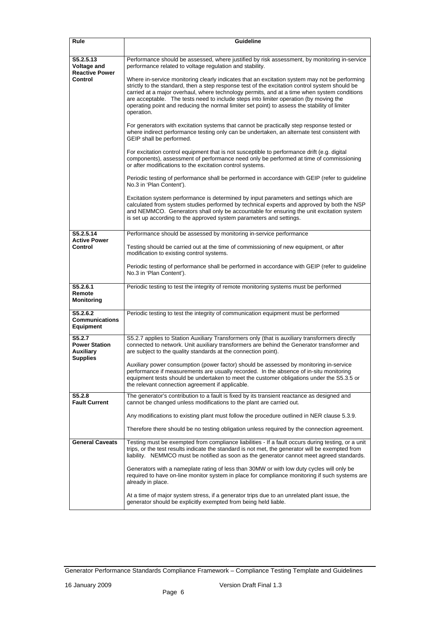| <b>Rule</b>                                                                | <b>Guideline</b>                                                                                                                                                                                                                                                                                                                                                                                                                                                                                       |  |  |  |  |  |
|----------------------------------------------------------------------------|--------------------------------------------------------------------------------------------------------------------------------------------------------------------------------------------------------------------------------------------------------------------------------------------------------------------------------------------------------------------------------------------------------------------------------------------------------------------------------------------------------|--|--|--|--|--|
| S5.2.5.13<br><b>Voltage and</b><br><b>Reactive Power</b><br><b>Control</b> | Performance should be assessed, where justified by risk assessment, by monitoring in-service<br>performance related to voltage regulation and stability.                                                                                                                                                                                                                                                                                                                                               |  |  |  |  |  |
|                                                                            | Where in-service monitoring clearly indicates that an excitation system may not be performing<br>strictly to the standard, then a step response test of the excitation control system should be<br>carried at a major overhaul, where technology permits, and at a time when system conditions<br>are acceptable. The tests need to include steps into limiter operation (by moving the<br>operating point and reducing the normal limiter set point) to assess the stability of limiter<br>operation. |  |  |  |  |  |
|                                                                            | For generators with excitation systems that cannot be practically step response tested or<br>where indirect performance testing only can be undertaken, an alternate test consistent with<br>GEIP shall be performed.                                                                                                                                                                                                                                                                                  |  |  |  |  |  |
|                                                                            | For excitation control equipment that is not susceptible to performance drift (e.g. digital<br>components), assessment of performance need only be performed at time of commissioning<br>or after modifications to the excitation control systems.                                                                                                                                                                                                                                                     |  |  |  |  |  |
|                                                                            | Periodic testing of performance shall be performed in accordance with GEIP (refer to guideline<br>No.3 in 'Plan Content').                                                                                                                                                                                                                                                                                                                                                                             |  |  |  |  |  |
|                                                                            | Excitation system performance is determined by input parameters and settings which are<br>calculated from system studies performed by technical experts and approved by both the NSP<br>and NEMMCO. Generators shall only be accountable for ensuring the unit excitation system<br>is set up according to the approved system parameters and settings.                                                                                                                                                |  |  |  |  |  |
| S5.2.5.14                                                                  | Performance should be assessed by monitoring in-service performance                                                                                                                                                                                                                                                                                                                                                                                                                                    |  |  |  |  |  |
| <b>Active Power</b><br><b>Control</b>                                      | Testing should be carried out at the time of commissioning of new equipment, or after<br>modification to existing control systems.                                                                                                                                                                                                                                                                                                                                                                     |  |  |  |  |  |
|                                                                            | Periodic testing of performance shall be performed in accordance with GEIP (refer to guideline<br>No.3 in 'Plan Content').                                                                                                                                                                                                                                                                                                                                                                             |  |  |  |  |  |
| S5.2.6.1<br>Remote<br><b>Monitoring</b>                                    | Periodic testing to test the integrity of remote monitoring systems must be performed                                                                                                                                                                                                                                                                                                                                                                                                                  |  |  |  |  |  |
| S5.2.6.2<br><b>Communications</b><br><b>Equipment</b>                      | Periodic testing to test the integrity of communication equipment must be performed                                                                                                                                                                                                                                                                                                                                                                                                                    |  |  |  |  |  |
| S5.2.7<br><b>Power Station</b><br><b>Auxiliary</b><br><b>Supplies</b>      | S5.2.7 applies to Station Auxiliary Transformers only (that is auxiliary transformers directly<br>connected to network. Unit auxiliary transformers are behind the Generator transformer and<br>are subject to the quality standards at the connection point).                                                                                                                                                                                                                                         |  |  |  |  |  |
|                                                                            | Auxiliary power consumption (power factor) should be assessed by monitoring in-service<br>performance if measurements are usually recorded. In the absence of in-situ monitoring<br>equipment tests should be undertaken to meet the customer obligations under the S5.3.5 or<br>the relevant connection agreement if applicable.                                                                                                                                                                      |  |  |  |  |  |
| S5.2.8<br><b>Fault Current</b>                                             | The generator's contribution to a fault is fixed by its transient reactance as designed and<br>cannot be changed unless modifications to the plant are carried out.                                                                                                                                                                                                                                                                                                                                    |  |  |  |  |  |
|                                                                            | Any modifications to existing plant must follow the procedure outlined in NER clause 5.3.9.                                                                                                                                                                                                                                                                                                                                                                                                            |  |  |  |  |  |
|                                                                            | Therefore there should be no testing obligation unless required by the connection agreement.                                                                                                                                                                                                                                                                                                                                                                                                           |  |  |  |  |  |
| <b>General Caveats</b>                                                     | Testing must be exempted from compliance liabilities - If a fault occurs during testing, or a unit<br>trips, or the test results indicate the standard is not met, the generator will be exempted from<br>liability. NEMMCO must be notified as soon as the generator cannot meet agreed standards.                                                                                                                                                                                                    |  |  |  |  |  |

Generators with a nameplate rating of less than 30MW or with low duty cycles will only be required to have on-line monitor system in place for compliance monitoring if such systems are already in place. At a time of major system stress, if a generator trips due to an unrelated plant issue, the generator should be explicitly exempted from being held liable.

Generator Performance Standards Compliance Framework – Compliance Testing Template and Guidelines

16 January 2009 Version Draft Final 1.3